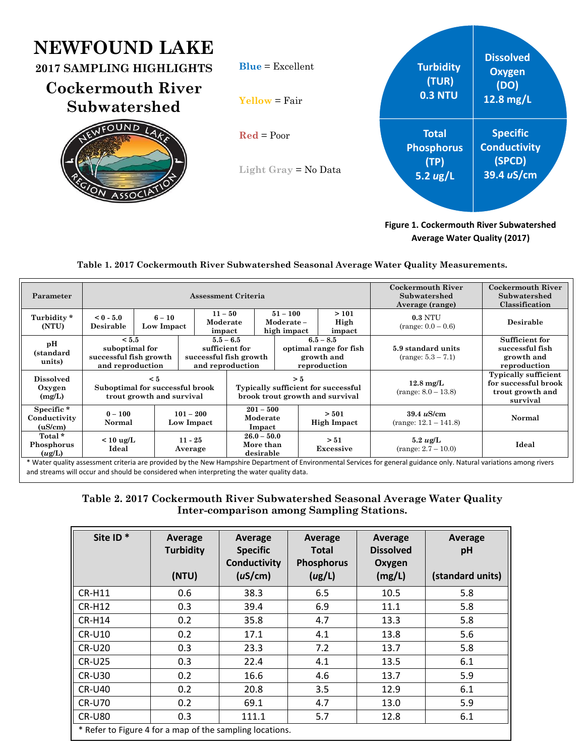## **WEATNIN LAKE**

| NLWFUUND LAKL<br><b>2017 SAMPLING HIGHLIGHTS</b><br><b>Cockermouth River</b><br><b>Subwatershed</b> | $Blue = Excellent$<br>$Yellow = Fair$                | <b>Turbidity</b><br>(TUR)<br><b>0.3 NTU</b>                | <b>Dissolved</b><br><b>Oxygen</b><br>(DO)<br>12.8 mg/L         |
|-----------------------------------------------------------------------------------------------------|------------------------------------------------------|------------------------------------------------------------|----------------------------------------------------------------|
| <b>FOUND</b>                                                                                        | $\text{Red} = \text{Poor}$<br>Light Gray $=$ No Data | <b>Total</b><br><b>Phosphorus</b><br>(TP)<br>5.2 $\mu$ g/L | <b>Specific</b><br><b>Conductivity</b><br>(SPCD)<br>39.4 uS/cm |

**Figure 1. Cockermouth River Subwatershed Average Water Quality (2017)**

#### **Table 1. 2017 Cockermouth River Subwatershed Seasonal Average Water Quality Measurements.**

| Parameter                            | <b>Assessment Criteria</b>                                            |                                                                     |                                                                             |                                                                               |  | Cockermouth River<br>Subwatershed<br>Average (range)                | Cockermouth River<br>Subwatershed<br>Classification |                                                                                     |                                                                 |
|--------------------------------------|-----------------------------------------------------------------------|---------------------------------------------------------------------|-----------------------------------------------------------------------------|-------------------------------------------------------------------------------|--|---------------------------------------------------------------------|-----------------------------------------------------|-------------------------------------------------------------------------------------|-----------------------------------------------------------------|
| Turbidity*<br>(NTU)                  | $< 0 - 5.0$<br>Desirable                                              | $6 - 10$<br>Low Impact                                              |                                                                             | $11 - 50$<br>Moderate<br>impact                                               |  | $51 - 100$<br>Moderate-<br>high impact                              | >101<br>High<br>impact                              | <b>0.3 NTU</b><br>$(range: 0.0 - 0.6)$                                              | Desirable                                                       |
| pН<br>(standard<br>units)            | < 5.5<br>suboptimal for<br>successful fish growth<br>and reproduction |                                                                     | $5.5 - 6.5$<br>sufficient for<br>successful fish growth<br>and reproduction |                                                                               |  | $6.5 - 8.5$<br>optimal range for fish<br>growth and<br>reproduction |                                                     | 5.9 standard units<br>$(range: 5.3 - 7.1)$                                          | Sufficient for<br>successful fish<br>growth and<br>reproduction |
| <b>Dissolved</b><br>Oxygen<br>(mg/L) |                                                                       | < 5<br>Suboptimal for successful brook<br>trout growth and survival |                                                                             | > 5<br>Typically sufficient for successful<br>brook trout growth and survival |  |                                                                     | $12.8 \text{ mg/L}$<br>$(range: 8.0 - 13.8)$        | <b>Typically sufficient</b><br>for successful brook<br>trout growth and<br>survival |                                                                 |
| Specific*<br>Conductivity<br>(uS/cm) | $0 - 100$<br>Normal                                                   |                                                                     | $101 - 200$<br>Low Impact                                                   | $201 - 500$<br>Moderate<br>Impact                                             |  |                                                                     | > 501<br><b>High Impact</b>                         | 39.4 uS/cm<br>$(range: 12.1 - 141.8)$                                               | Normal                                                          |
| Total*<br>Phosphorus<br>(ug/L)       | $< 10 \text{ ug/L}$<br>Ideal                                          |                                                                     | $11 - 25$<br>Average                                                        | $26.0 - 50.0$<br>More than<br>desirable                                       |  |                                                                     | > 51<br>Excessive                                   | $5.2 \text{ ug/L}$<br>$(range: 2.7 - 10.0)$                                         | Ideal                                                           |

and streams will occur and should be considered when interpreting the water quality data.

### **Table 2. 2017 Cockermouth River Subwatershed Seasonal Average Water Quality Inter-comparison among Sampling Stations.**

| Site ID*                                                 | Average<br><b>Turbidity</b><br>(NTU) | Average<br><b>Specific</b><br><b>Conductivity</b><br>(uS/cm) | Average<br><b>Total</b><br><b>Phosphorus</b><br>(ug/L) | Average<br><b>Dissolved</b><br>Oxygen<br>(mg/L) | Average<br>pH<br>(standard units) |  |  |
|----------------------------------------------------------|--------------------------------------|--------------------------------------------------------------|--------------------------------------------------------|-------------------------------------------------|-----------------------------------|--|--|
| <b>CR-H11</b>                                            | 0.6                                  | 38.3                                                         | 6.5                                                    | 10.5                                            | 5.8                               |  |  |
| <b>CR-H12</b>                                            | 0.3                                  | 39.4                                                         | 6.9                                                    | 11.1                                            | 5.8                               |  |  |
| <b>CR-H14</b>                                            | 0.2                                  | 35.8                                                         | 4.7                                                    | 13.3                                            | 5.8                               |  |  |
| <b>CR-U10</b>                                            | 0.2                                  | 17.1                                                         | 4.1                                                    | 13.8                                            | 5.6                               |  |  |
| <b>CR-U20</b>                                            | 0.3                                  | 23.3                                                         | 7.2                                                    | 13.7                                            | 5.8                               |  |  |
| <b>CR-U25</b>                                            | 0.3                                  | 22.4                                                         | 4.1                                                    | 13.5                                            | 6.1                               |  |  |
| <b>CR-U30</b>                                            | 0.2                                  | 16.6                                                         | 4.6                                                    | 13.7                                            | 5.9                               |  |  |
| <b>CR-U40</b>                                            | 0.2                                  | 20.8                                                         | 3.5                                                    | 12.9                                            | 6.1                               |  |  |
| <b>CR-U70</b>                                            | 0.2                                  | 69.1                                                         | 4.7                                                    | 13.0                                            | 5.9                               |  |  |
| <b>CR-U80</b>                                            | 0.3                                  | 111.1                                                        | 5.7                                                    | 12.8                                            | 6.1                               |  |  |
| * Refer to Figure 4 for a map of the sampling locations. |                                      |                                                              |                                                        |                                                 |                                   |  |  |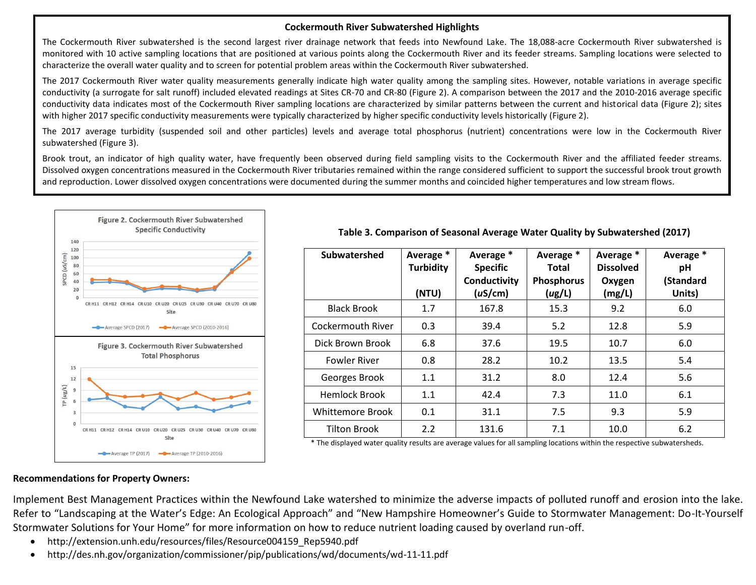#### **Cockermouth River Subwatershed Highlights**

The Cockermouth River subwatershed is the second largest river drainage network that feeds into Newfound Lake. The 18,088-acre Cockermouth River subwatershed is monitored with 10 active sampling locations that are positioned at various points along the Cockermouth River and its feeder streams. Sampling locations were selected to characterize the overall water quality and to screen for potential problem areas within the Cockermouth River subwatershed.

The 2017 Cockermouth River water quality measurements generally indicate high water quality among the sampling sites. However, notable variations in average specific conductivity (a surrogate for salt runoff) included elevated readings at Sites CR-70 and CR-80 (Figure 2). A comparison between the 2017 and the 2010-2016 average specific conductivity data indicates most of the Cockermouth River sampling locations are characterized by similar patterns between the current and historical data (Figure 2); sites with higher 2017 specific conductivity measurements were typically characterized by higher specific conductivity levels historically (Figure 2).

The 2017 average turbidity (suspended soil and other particles) levels and average total phosphorus (nutrient) concentrations were low in the Cockermouth River subwatershed (Figure 3).

Brook trout, an indicator of high quality water, have frequently been observed during field sampling visits to the Cockermouth River and the affiliated feeder streams. Dissolved oxygen concentrations measured in the Cockermouth River tributaries remained within the range considered sufficient to support the successful brook trout growth and reproduction. Lower dissolved oxygen concentrations were documented during the summer months and coincided higher temperatures and low stream flows.



**Table 3. Comparison of Seasonal Average Water Quality by Subwatershed (2017)**

| Subwatershed            | Average *<br><b>Turbidity</b> | Average *<br>Average *<br><b>Specific</b><br>Total<br>Conductivity<br><b>Phosphorus</b> |        | Average *<br><b>Dissolved</b><br>Oxygen | Average *<br>рH<br>(Standard |
|-------------------------|-------------------------------|-----------------------------------------------------------------------------------------|--------|-----------------------------------------|------------------------------|
|                         | (NTU)                         | (uS/cm)                                                                                 | (ug/L) | (mg/L)                                  | Units)                       |
| <b>Black Brook</b>      | 1.7                           | 167.8                                                                                   | 15.3   | 9.2                                     | 6.0                          |
| Cockermouth River       | 0.3                           | 39.4                                                                                    | 5.2    | 12.8                                    | 5.9                          |
| Dick Brown Brook        | 6.8                           | 37.6                                                                                    | 19.5   | 10.7                                    | 6.0                          |
| <b>Fowler River</b>     | 0.8                           | 28.2                                                                                    | 10.2   | 13.5                                    | 5.4                          |
| Georges Brook           | 1.1                           | 31.2                                                                                    | 8.0    | 12.4                                    | 5.6                          |
| <b>Hemlock Brook</b>    | 1.1                           | 42.4                                                                                    | 7.3    | 11.0                                    | 6.1                          |
| <b>Whittemore Brook</b> | 0.1                           | 31.1                                                                                    | 7.5    | 9.3                                     | 5.9                          |
| <b>Tilton Brook</b>     | 2.2                           | 131.6                                                                                   | 7.1    | 10.0                                    | 6.2                          |

\* The displayed water quality results are average values for all sampling locations within the respective subwatersheds.

#### **Recommendations for Property Owners:**

Implement Best Management Practices within the Newfound Lake watershed to minimize the adverse impacts of polluted runoff and erosion into the lake. Refer to "Landscaping at the Water's Edge: An Ecological Approach" and "New Hampshire Homeowner's Guide to Stormwater Management: Do-It-Yourself Stormwater Solutions for Your Home" for more information on how to reduce nutrient loading caused by overland run-off.

- http://extension.unh.edu/resources/files/Resource004159\_Rep5940.pdf
- http://des.nh.gov/organization/commissioner/pip/publications/wd/documents/wd-11-11.pdf